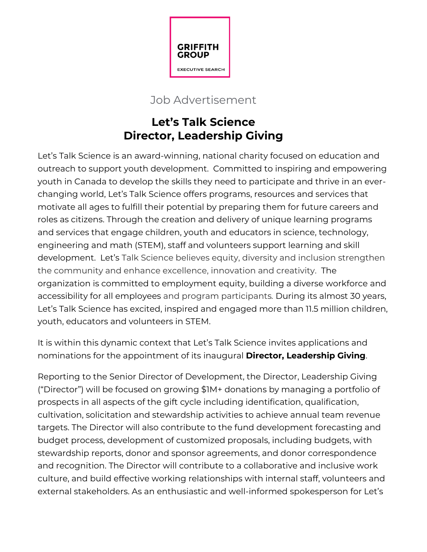

## Job Advertisement

## **Let's Talk Science Director, Leadership Giving**

Let's Talk Science is an award-winning, national charity focused on education and outreach to support youth development. Committed to inspiring and empowering youth in Canada to develop the skills they need to participate and thrive in an everchanging world, Let's Talk Science offers programs, resources and services that motivate all ages to fulfill their potential by preparing them for future careers and roles as citizens. Through the creation and delivery of unique learning programs and services that engage children, youth and educators in science, technology, engineering and math (STEM), staff and volunteers support learning and skill development. Let's Talk Science believes equity, diversity and inclusion strengthen the community and enhance excellence, innovation and creativity. The organization is committed to employment equity, building a diverse workforce and accessibility for all employees and program participants*.* During its almost 30 years, Let's Talk Science has excited, inspired and engaged more than 11.5 million children, youth, educators and volunteers in STEM.

It is within this dynamic context that Let's Talk Science invites applications and nominations for the appointment of its inaugural **Director, Leadership Giving**.

Reporting to the Senior Director of Development, the Director, Leadership Giving ("Director") will be focused on growing \$1M+ donations by managing a portfolio of prospects in all aspects of the gift cycle including identification, qualification, cultivation, solicitation and stewardship activities to achieve annual team revenue targets. The Director will also contribute to the fund development forecasting and budget process, development of customized proposals, including budgets, with stewardship reports, donor and sponsor agreements, and donor correspondence and recognition. The Director will contribute to a collaborative and inclusive work culture, and build effective working relationships with internal staff, volunteers and external stakeholders. As an enthusiastic and well-informed spokesperson for Let's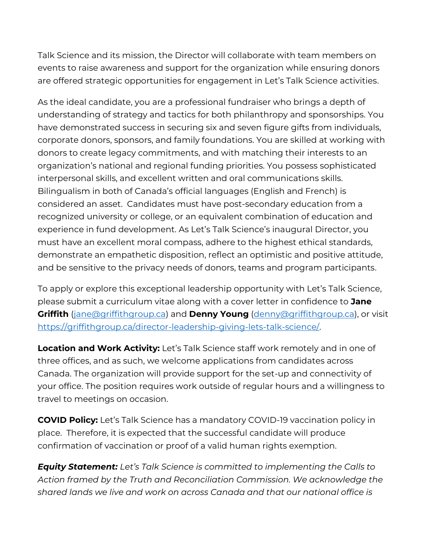Talk Science and its mission, the Director will collaborate with team members on events to raise awareness and support for the organization while ensuring donors are offered strategic opportunities for engagement in Let's Talk Science activities.

As the ideal candidate, you are a professional fundraiser who brings a depth of understanding of strategy and tactics for both philanthropy and sponsorships. You have demonstrated success in securing six and seven figure gifts from individuals, corporate donors, sponsors, and family foundations. You are skilled at working with donors to create legacy commitments, and with matching their interests to an organization's national and regional funding priorities. You possess sophisticated interpersonal skills, and excellent written and oral communications skills. Bilingualism in both of Canada's official languages (English and French) is considered an asset. Candidates must have post-secondary education from a recognized university or college, or an equivalent combination of education and experience in fund development. As Let's Talk Science's inaugural Director, you must have an excellent moral compass, adhere to the highest ethical standards, demonstrate an empathetic disposition, reflect an optimistic and positive attitude, and be sensitive to the privacy needs of donors, teams and program participants.

To apply or explore this exceptional leadership opportunity with Let's Talk Science, please submit a curriculum vitae along with a cover letter in confidence to **Jane Griffith** [\(jane@griffithgroup.ca\)](mailto:jane@griffithgroup.ca) and **Denny Young** [\(denny@griffithgroup.ca\)](mailto:denny@griffithgroup.ca), or visit [https://griffithgroup.ca/director-leadership-giving-lets-talk-science/.](https://griffithgroup.ca/director-leadership-giving-lets-talk-science/)

**Location and Work Activity:** Let's Talk Science staff work remotely and in one of three offices, and as such, we welcome applications from candidates across Canada. The organization will provide support for the set-up and connectivity of your office. The position requires work outside of regular hours and a willingness to travel to meetings on occasion.

**COVID Policy:** Let's Talk Science has a mandatory COVID-19 vaccination policy in place. Therefore, it is expected that the successful candidate will produce confirmation of vaccination or proof of a valid human rights exemption.

*Equity Statement: Let's Talk Science is committed to implementing the Calls to Action framed by the Truth and Reconciliation Commission. We acknowledge the shared lands we live and work on across Canada and that our national office is*